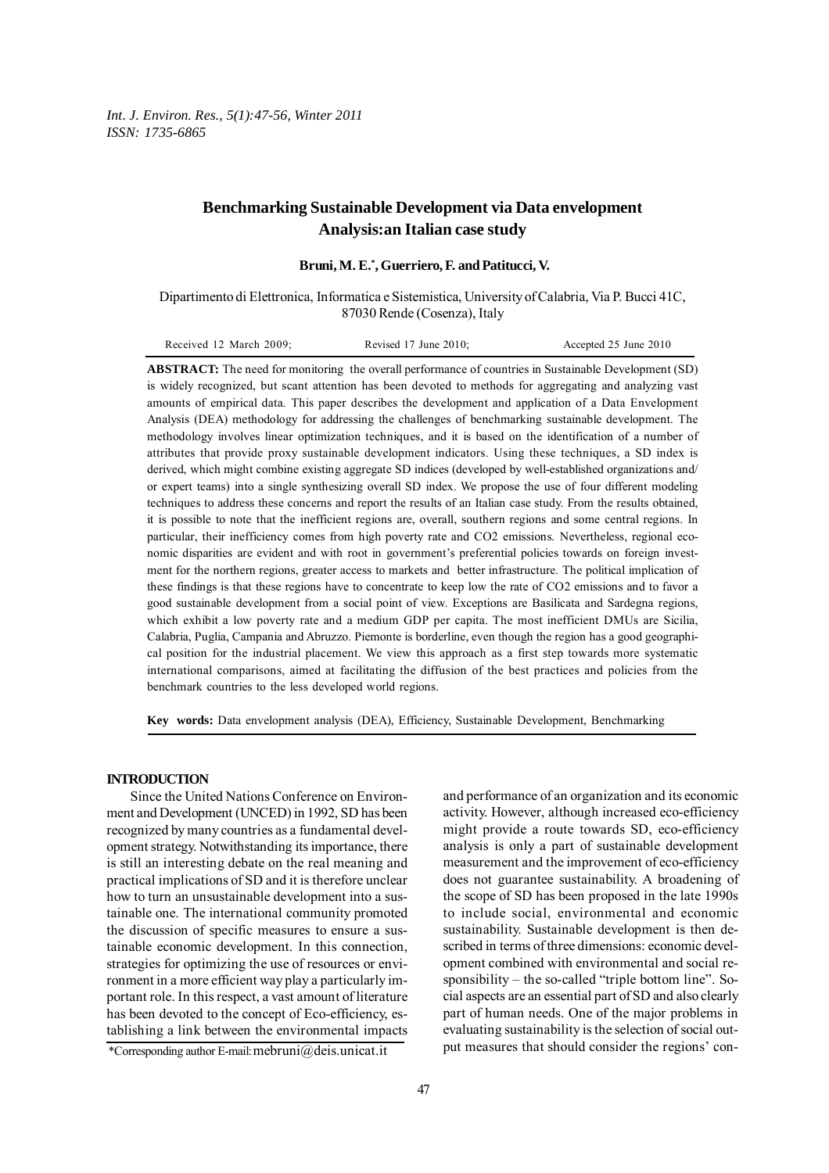*Int. J. Environ. Res., 5(1):47-56, Winter 2011 ISSN: 1735-6865*

# **Benchmarking Sustainable Development via Data envelopment Analysis:an Italian case study**

**Bruni, M. E.\* , Guerriero, F. and Patitucci, V.**

Dipartimento di Elettronica, Informatica e Sistemistica, University of Calabria, Via P. Bucci 41C, 87030 Rende (Cosenza), Italy

| Received 12 March 2009; | Revised $17$ June $2010$ ; | Accepted 25 June 2010 |
|-------------------------|----------------------------|-----------------------|
|-------------------------|----------------------------|-----------------------|

**ABSTRACT:** The need for monitoring the overall performance of countries in Sustainable Development (SD) is widely recognized, but scant attention has been devoted to methods for aggregating and analyzing vast amounts of empirical data. This paper describes the development and application of a Data Envelopment Analysis (DEA) methodology for addressing the challenges of benchmarking sustainable development. The methodology involves linear optimization techniques, and it is based on the identification of a number of attributes that provide proxy sustainable development indicators. Using these techniques, a SD index is derived, which might combine existing aggregate SD indices (developed by well-established organizations and/ or expert teams) into a single synthesizing overall SD index. We propose the use of four different modeling techniques to address these concerns and report the results of an Italian case study. From the results obtained, it is possible to note that the inefficient regions are, overall, southern regions and some central regions. In particular, their inefficiency comes from high poverty rate and CO2 emissions. Nevertheless, regional economic disparities are evident and with root in government's preferential policies towards on foreign investment for the northern regions, greater access to markets and better infrastructure. The political implication of these findings is that these regions have to concentrate to keep low the rate of CO2 emissions and to favor a good sustainable development from a social point of view. Exceptions are Basilicata and Sardegna regions, which exhibit a low poverty rate and a medium GDP per capita. The most inefficient DMUs are Sicilia, Calabria, Puglia, Campania and Abruzzo. Piemonte is borderline, even though the region has a good geographical position for the industrial placement. We view this approach as a first step towards more systematic international comparisons, aimed at facilitating the diffusion of the best practices and policies from the benchmark countries to the less developed world regions.

**Key words:** Data envelopment analysis (DEA), Efficiency, Sustainable Development, Benchmarking

## **INTRODUCTION**

Since the United Nations Conference on Environment and Development (UNCED) in 1992, SD has been recognized by many countries as a fundamental development strategy. Notwithstanding its importance, there is still an interesting debate on the real meaning and practical implications of SD and it is therefore unclear how to turn an unsustainable development into a sustainable one. The international community promoted the discussion of specific measures to ensure a sustainable economic development. In this connection, strategies for optimizing the use of resources or environment in a more efficient way play a particularly important role. In this respect, a vast amount of literature has been devoted to the concept of Eco-efficiency, establishing a link between the environmental impacts and performance of an organization and its economic activity. However, although increased eco-efficiency might provide a route towards SD, eco-efficiency analysis is only a part of sustainable development measurement and the improvement of eco-efficiency does not guarantee sustainability. A broadening of the scope of SD has been proposed in the late 1990s to include social, environmental and economic sustainability. Sustainable development is then described in terms of three dimensions: economic development combined with environmental and social responsibility – the so-called "triple bottom line". Social aspects are an essential part of SD and also clearly part of human needs. One of the major problems in evaluating sustainability is the selection of social output measures that should consider the regions' con-

<sup>\*</sup>Corresponding author E-mail: mebruni@deis.unicat.it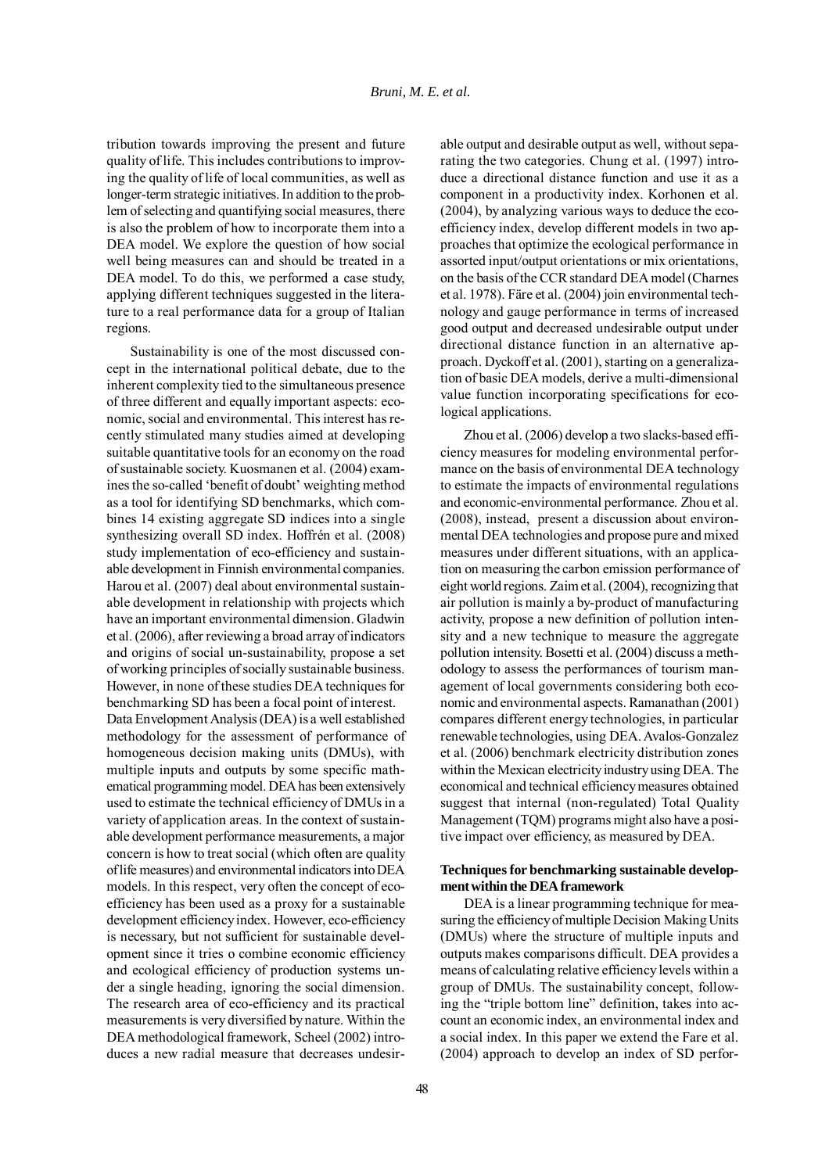tribution towards improving the present and future quality of life. This includes contributions to improving the quality of life of local communities, as well as longer-term strategic initiatives. In addition to the problem of selecting and quantifying social measures, there is also the problem of how to incorporate them into a DEA model. We explore the question of how social well being measures can and should be treated in a DEA model. To do this, we performed a case study, applying different techniques suggested in the literature to a real performance data for a group of Italian regions.

Sustainability is one of the most discussed concept in the international political debate, due to the inherent complexity tied to the simultaneous presence of three different and equally important aspects: economic, social and environmental. This interest has recently stimulated many studies aimed at developing suitable quantitative tools for an economy on the road of sustainable society. Kuosmanen et al. (2004) examines the so-called 'benefit of doubt' weighting method as a tool for identifying SD benchmarks, which combines 14 existing aggregate SD indices into a single synthesizing overall SD index. Hoffrén et al. (2008) study implementation of eco-efficiency and sustainable development in Finnish environmental companies. Harou et al. (2007) deal about environmental sustainable development in relationship with projects which have an important environmental dimension. Gladwin et al. (2006), after reviewing a broad array of indicators and origins of social un-sustainability, propose a set of working principles of socially sustainable business. However, in none of these studies DEA techniques for benchmarking SD has been a focal point of interest.

Data Envelopment Analysis (DEA) is a well established methodology for the assessment of performance of homogeneous decision making units (DMUs), with multiple inputs and outputs by some specific mathematical programming model. DEA has been extensively used to estimate the technical efficiency of DMUs in a variety of application areas. In the context of sustainable development performance measurements, a major concern is how to treat social (which often are quality of life measures) and environmental indicators into DEA models. In this respect, very often the concept of ecoefficiency has been used as a proxy for a sustainable development efficiency index. However, eco-efficiency is necessary, but not sufficient for sustainable development since it tries o combine economic efficiency and ecological efficiency of production systems under a single heading, ignoring the social dimension. The research area of eco-efficiency and its practical measurements is very diversified by nature. Within the DEA methodological framework, Scheel (2002) introduces a new radial measure that decreases undesirable output and desirable output as well, without separating the two categories. Chung et al. (1997) introduce a directional distance function and use it as a component in a productivity index. Korhonen et al. (2004), by analyzing various ways to deduce the ecoefficiency index, develop different models in two approaches that optimize the ecological performance in assorted input/output orientations or mix orientations, on the basis of the CCR standard DEA model (Charnes et al. 1978). Färe et al. (2004) join environmental technology and gauge performance in terms of increased good output and decreased undesirable output under directional distance function in an alternative approach. Dyckoff et al. (2001), starting on a generalization of basic DEA models, derive a multi-dimensional value function incorporating specifications for ecological applications.

Zhou et al. (2006) develop a two slacks-based efficiency measures for modeling environmental performance on the basis of environmental DEA technology to estimate the impacts of environmental regulations and economic-environmental performance. Zhou et al. (2008), instead, present a discussion about environmental DEA technologies and propose pure and mixed measures under different situations, with an application on measuring the carbon emission performance of eight world regions. Zaim et al. (2004), recognizing that air pollution is mainly a by-product of manufacturing activity, propose a new definition of pollution intensity and a new technique to measure the aggregate pollution intensity. Bosetti et al. (2004) discuss a methodology to assess the performances of tourism management of local governments considering both economic and environmental aspects. Ramanathan (2001) compares different energy technologies, in particular renewable technologies, using DEA. Avalos-Gonzalez et al. (2006) benchmark electricity distribution zones within the Mexican electricity industry using DEA. The economical and technical efficiency measures obtained suggest that internal (non-regulated) Total Quality Management (TQM) programs might also have a positive impact over efficiency, as measured by DEA.

# **Techniques for benchmarking sustainable development within the DEA framework**

DEA is a linear programming technique for measuring the efficiency of multiple Decision Making Units (DMUs) where the structure of multiple inputs and outputs makes comparisons difficult. DEA provides a means of calculating relative efficiency levels within a group of DMUs. The sustainability concept, following the "triple bottom line" definition, takes into account an economic index, an environmental index and a social index. In this paper we extend the Fare et al. (2004) approach to develop an index of SD perfor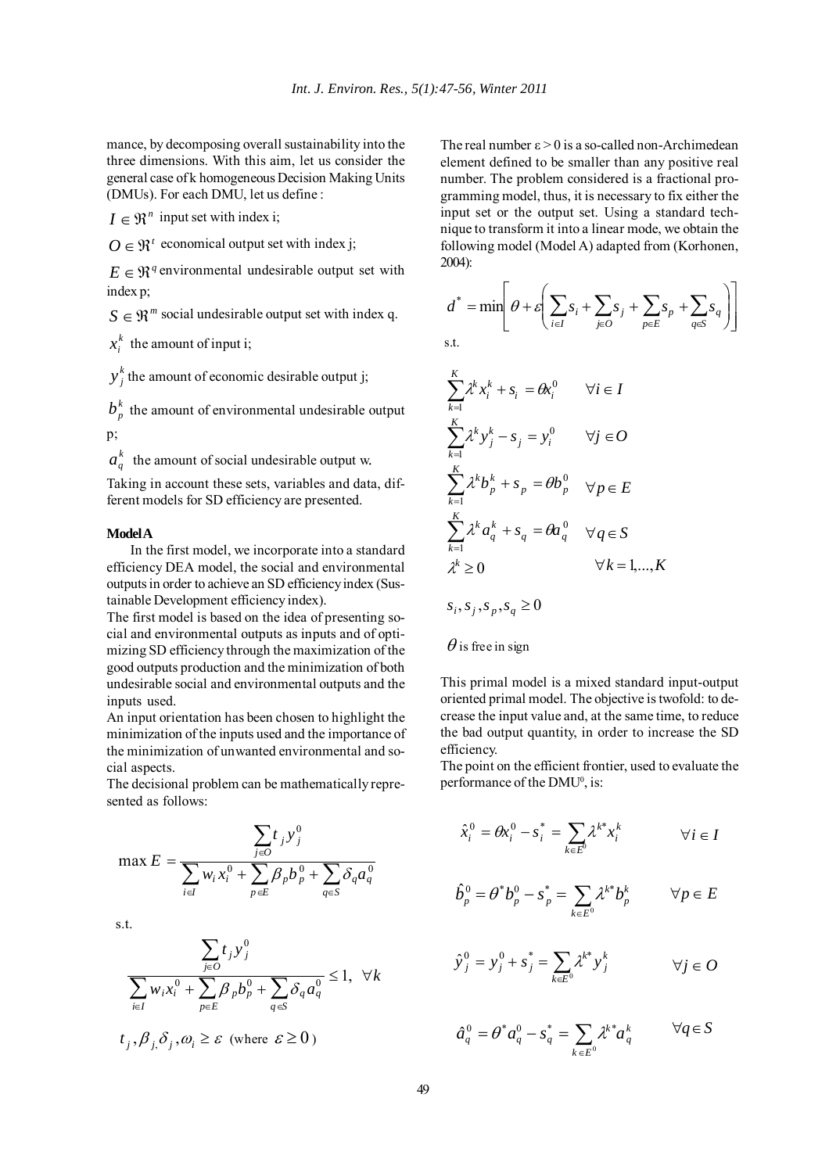mance, by decomposing overall sustainability into the three dimensions. With this aim, let us consider the general case of k homogeneous Decision Making Units (DMUs). For each DMU, let us define :

 $I \in \mathfrak{R}^n$  input set with index i;

 $O \in \mathfrak{R}^t$  economical output set with index j;

 $E \in \mathbb{R}^q$  environmental undesirable output set with index p;

 $S \in \mathbb{R}^m$  social undesirable output set with index q.

 $x_i^k$  the amount of input i;

 $y_j^k$  the amount of economic desirable output j;

 $b<sub>p</sub><sup>k</sup>$  the amount of environmental undesirable output p;

 $a_a^k$  the amount of social undesirable output w.

Taking in account these sets, variables and data, different models for SD efficiency are presented.

### **Model A**

In the first model, we incorporate into a standard efficiency DEA model, the social and environmental outputs in order to achieve an SD efficiency index (Sustainable Development efficiency index).

The first model is based on the idea of presenting social and environmental outputs as inputs and of optimizing SD efficiency through the maximization of the good outputs production and the minimization of both undesirable social and environmental outputs and the inputs used.

An input orientation has been chosen to highlight the minimization of the inputs used and the importance of the minimization of unwanted environmental and social aspects.

The decisional problem can be mathematically represented as follows:

$$
\max E = \frac{\sum_{j \in O} t_j y_j^0}{\sum_{i \in I} w_i x_i^0 + \sum_{p \in E} \beta_p b_p^0 + \sum_{q \in S} \delta_q a_q^0}
$$

s.t.

$$
\frac{\sum_{j\in O} t_j y_j^0}{\sum_{i\in I} w_i x_i^0 + \sum_{p\in E} \beta_p b_p^0 + \sum_{q\in S} \delta_q a_q^0} \le 1, \ \forall k
$$
  

$$
t_j, \beta_j, \delta_j, \omega_i \ge \varepsilon \text{ (where } \varepsilon \ge 0)
$$

The real number  $\varepsilon > 0$  is a so-called non-Archimedean element defined to be smaller than any positive real number. The problem considered is a fractional programming model, thus, it is necessary to fix either the input set or the output set. Using a standard technique to transform it into a linear mode, we obtain the following model (Model A) adapted from (Korhonen, 2004):

$$
d^* = \min \left[ \theta + \varepsilon \left( \sum_{i \in I} s_i + \sum_{j \in O} s_j + \sum_{p \in E} s_p + \sum_{q \in S} s_q \right) \right]
$$
  
s.t.  

$$
\sum_{k=1}^K \lambda^k x_i^k + s_i = \theta x_i^0 \quad \forall i \in I
$$
  

$$
\sum_{k=1}^K \lambda^k y_j^k - s_j = y_i^0 \quad \forall j \in O
$$
  

$$
\sum_{k=1}^K \lambda^k b_p^k + s_p = \theta b_p^0 \quad \forall p \in E
$$
  

$$
\sum_{k=1}^K \lambda^k a_q^k + s_q = \theta a_q^0 \quad \forall q \in S
$$
  

$$
\lambda^k \ge 0 \qquad \forall k = 1, ..., K
$$
  

$$
s_i, s_j, s_p, s_q \ge 0
$$

 $\theta$  is free in sign

This primal model is a mixed standard input-output oriented primal model. The objective is twofold: to decrease the input value and, at the same time, to reduce the bad output quantity, in order to increase the SD efficiency.

The point on the efficient frontier, used to evaluate the performance of the DMU<sup>0</sup>, is:

$$
\hat{x}_i^0 = \theta x_i^0 - s_i^* = \sum_{k \in E^0} \lambda^{k*} x_i^k \qquad \forall i \in I
$$

$$
\hat{b}_p^0 = \theta^* b_p^0 - s_p^* = \sum_{k \in E^0} \lambda^{k*} b_p^k \qquad \forall p \in E
$$

$$
\hat{y}_j^0 = y_j^0 + s_j^* = \sum_{k \in E^0} \lambda^{k^*} y_j^k \qquad \forall j \in O
$$

$$
\hat{a}_q^0 = \theta^* a_q^0 - s_q^* = \sum_{k \in E^0} \lambda^k a_q^k \qquad \forall q \in S
$$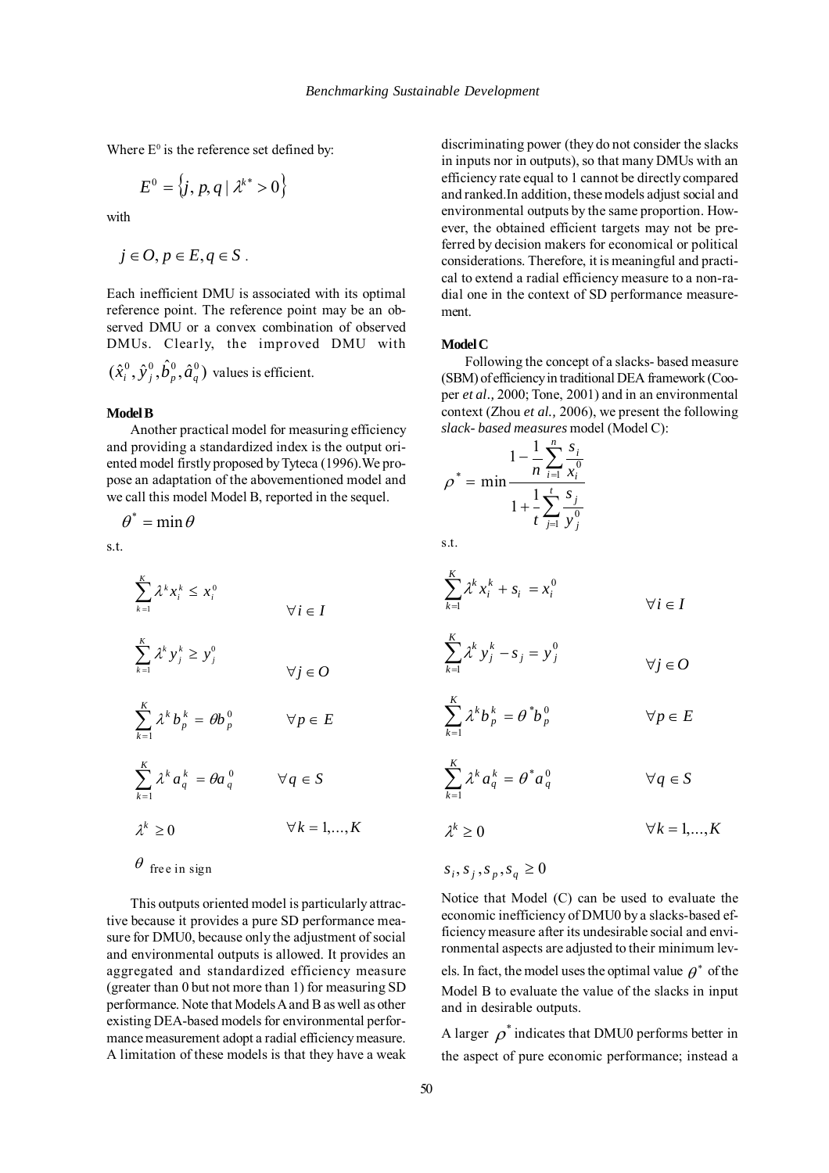Where  $E^0$  is the reference set defined by:

$$
E^0 = \left\{ j, p, q \mid \lambda^{k^*} > 0 \right\}
$$

with

$$
j\in O, p\in E, q\in S.
$$

Each inefficient DMU is associated with its optimal reference point. The reference point may be an observed DMU or a convex combination of observed DMUs. Clearly, the improved DMU with  $(\hat{x}_i^0, \hat{y}_j^0, \hat{b}_p^0, \hat{a}_q^0)$  values is efficient.

#### **Model B**

Another practical model for measuring efficiency and providing a standardized index is the output oriented model firstly proposed by Tyteca (1996).We propose an adaptation of the abovementioned model and we call this model Model B, reported in the sequel.

 $\theta^* = \min \theta$ 

s.t.

$$
\sum_{k=1}^{K} \lambda^k x_i^k \le x_i^0
$$
  
\n
$$
\forall i \in I
$$
  
\n
$$
\sum_{k=1}^{K} \lambda^k y_j^k \ge y_j^0
$$
  
\n
$$
\sum_{k=1}^{K} \lambda^k b_p^k = \theta b_p^0
$$
  
\n
$$
\forall j \in O
$$
  
\n
$$
\sum_{k=1}^{K} \lambda^k a_q^k = \theta a_q^0
$$
  
\n
$$
\forall q \in S
$$
  
\n
$$
\lambda^k \ge 0
$$
  
\n
$$
\forall k = 1,...,K
$$

# $\theta$  free in sign

This outputs oriented model is particularly attractive because it provides a pure SD performance measure for DMU0, because only the adjustment of social and environmental outputs is allowed. It provides an aggregated and standardized efficiency measure (greater than 0 but not more than 1) for measuring SD performance. Note that Models A and B as well as other existing DEA-based models for environmental performance measurement adopt a radial efficiency measure. A limitation of these models is that they have a weak

discriminating power (they do not consider the slacks in inputs nor in outputs), so that many DMUs with an efficiency rate equal to 1 cannot be directly compared and ranked.In addition, these models adjust social and environmental outputs by the same proportion. However, the obtained efficient targets may not be preferred by decision makers for economical or political considerations. Therefore, it is meaningful and practical to extend a radial efficiency measure to a non-radial one in the context of SD performance measurement.

### **Model C**

Following the concept of a slacks- based measure (SBM) of efficiency in traditional DEA framework (Cooper *et al.,* 2000; Tone, 2001) and in an environmental context (Zhou *et al.,* 2006), we present the following *slack- based measures* model (Model C):

$$
\rho^* = \min \frac{1 - \frac{1}{n} \sum_{i=1}^n \frac{s_i}{x_i^0}}{1 + \frac{1}{n} \sum_{j=1}^n \frac{s_j}{y_j^0}}
$$

s.t.

$$
\sum_{k=1}^{K} \lambda^k x_i^k + s_i = x_i^0
$$
  

$$
\forall i \in I
$$

$$
\sum_{k=1}^{K} \lambda^k y_j^k - s_j = y_j^0
$$
  

$$
\forall j \in O
$$

$$
\sum_{k=1}^{K} \lambda^k b_p^k = \theta^* b_p^0 \qquad \forall p \in E
$$

$$
\sum_{k=1}^{K} \lambda^k a_q^k = \theta^* a_q^0 \qquad \forall q \in S
$$

$$
\lambda^k \ge 0 \qquad \forall k = 1,...,K
$$

$$
s_i, s_j, s_p, s_q \ge 0
$$

Notice that Model (C) can be used to evaluate the economic inefficiency of DMU0 by a slacks-based efficiency measure after its undesirable social and environmental aspects are adjusted to their minimum lev-

els. In fact, the model uses the optimal value  $\rho^*$  of the Model B to evaluate the value of the slacks in input and in desirable outputs.

A larger  $\rho^*$  indicates that DMU0 performs better in the aspect of pure economic performance; instead a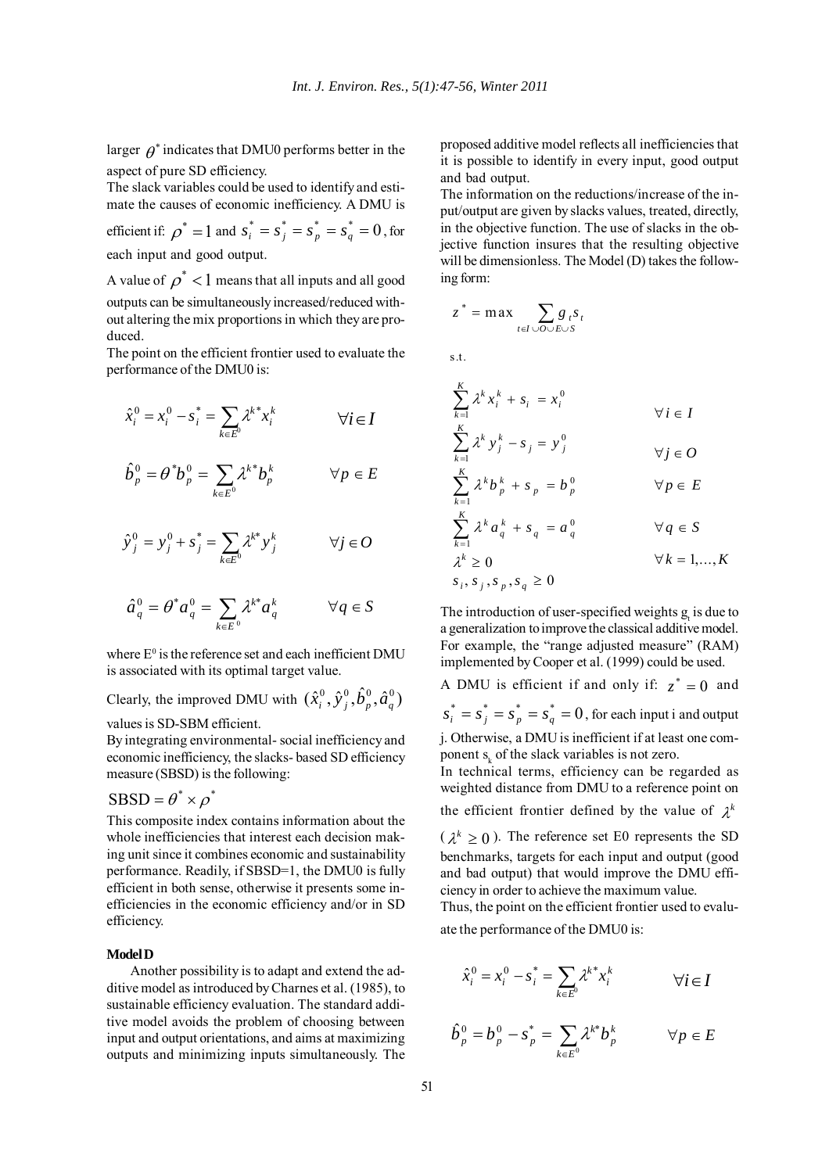larger  $\theta^*$  indicates that DMU0 performs better in the aspect of pure SD efficiency.

The slack variables could be used to identify and estimate the causes of economic inefficiency. A DMU is

efficient if:  $\rho^* = 1$  and  $s_i^* = s_j^* = s_p^* = s_q^* = 0$ , for each input and good output.

A value of  $\rho^*$  < 1 means that all inputs and all good outputs can be simultaneously increased/reduced without altering the mix proportions in which they are produced.

The point on the efficient frontier used to evaluate the performance of the DMU0 is:

$$
\hat{x}_i^0 = x_i^0 - s_i^* = \sum_{k \in E^0} \lambda^k x_i^k \qquad \forall i \in I
$$

$$
\hat{b}^0_p = \theta^* b^0_p = \sum_{k \in E^0} \lambda^k b^k_p \qquad \forall p \in E
$$

$$
\hat{y}_j^0 = y_j^0 + s_j^* = \sum_{k \in E^0} \lambda^{k*} y_j^k \qquad \forall j \in O
$$

$$
\hat{a}_q^0 = \theta^* a_q^0 = \sum_{k \in E^0} \lambda^{k*} a_q^k \qquad \forall q \in S
$$

where  $E^0$  is the reference set and each inefficient DMU is associated with its optimal target value.

Clearly, the improved DMU with  $(\hat{x}_i^0, \hat{y}_j^0, \hat{b}_p^0, \hat{a}_q^0)$ values is SD-SBM efficient.

By integrating environmental- social inefficiency and economic inefficiency, the slacks- based SD efficiency measure (SBSD) is the following:

# $SBSD = \theta^* \times \rho^*$

This composite index contains information about the whole inefficiencies that interest each decision making unit since it combines economic and sustainability performance. Readily, if SBSD=1, the DMU0 is fully efficient in both sense, otherwise it presents some inefficiencies in the economic efficiency and/or in SD efficiency.

# **Model D**

Another possibility is to adapt and extend the additive model as introduced by Charnes et al. (1985), to sustainable efficiency evaluation. The standard additive model avoids the problem of choosing between input and output orientations, and aims at maximizing outputs and minimizing inputs simultaneously. The proposed additive model reflects all inefficiencies that it is possible to identify in every input, good output and bad output.

The information on the reductions/increase of the input/output are given by slacks values, treated, directly, in the objective function. The use of slacks in the objective function insures that the resulting objective will be dimensionless. The Model (D) takes the following form:

$$
z^* = \max \sum_{t \in I \cup O \cup E \cup S} g_t s_t
$$

s.t.

$$
\sum_{k=1}^{K} \lambda^k x_i^k + s_i = x_i^0
$$
  
\n
$$
\sum_{k=1}^{K} \lambda^k y_j^k - s_j = y_j^0
$$
  
\n
$$
\sum_{k=1}^{K} \lambda^k b_p^k + s_p = b_p^0
$$
  
\n
$$
\sum_{k=1}^{K} \lambda^k a_q^k + s_q = a_q^0
$$
  
\n
$$
\forall q \in S
$$
  
\n
$$
\lambda^k \ge 0
$$
  
\n
$$
s_i, s_j, s_p, s_q \ge 0
$$
  
\n
$$
\forall k = 1, ..., K
$$

The introduction of user-specified weights  $g_t$  is due to a generalization to improve the classical additive model. For example, the "range adjusted measure" (RAM) implemented by Cooper et al. (1999) could be used.

A DMU is efficient if and only if:  $z^* = 0$  and  $s_i^* = s_j^* = s_n^* = s_a^* = 0$ , for each input i and output j. Otherwise, a DMU is inefficient if at least one com-

ponent  $s_k$  of the slack variables is not zero. In technical terms, efficiency can be regarded as

weighted distance from DMU to a reference point on the efficient frontier defined by the value of  $\lambda^k$ 

 $(\lambda^k \geq 0)$ . The reference set E0 represents the SD benchmarks, targets for each input and output (good and bad output) that would improve the DMU efficiency in order to achieve the maximum value.

Thus, the point on the efficient frontier used to evaluate the performance of the DMU0 is:

$$
\hat{x}_i^0 = x_i^0 - s_i^* = \sum_{k \in E^0} \lambda^k x_i^k \qquad \forall i \in I
$$

$$
\hat{b}_p^0 = b_p^0 - s_p^* = \sum_{k \in E^0} \lambda^{k^*} b_p^k \qquad \forall p \in E
$$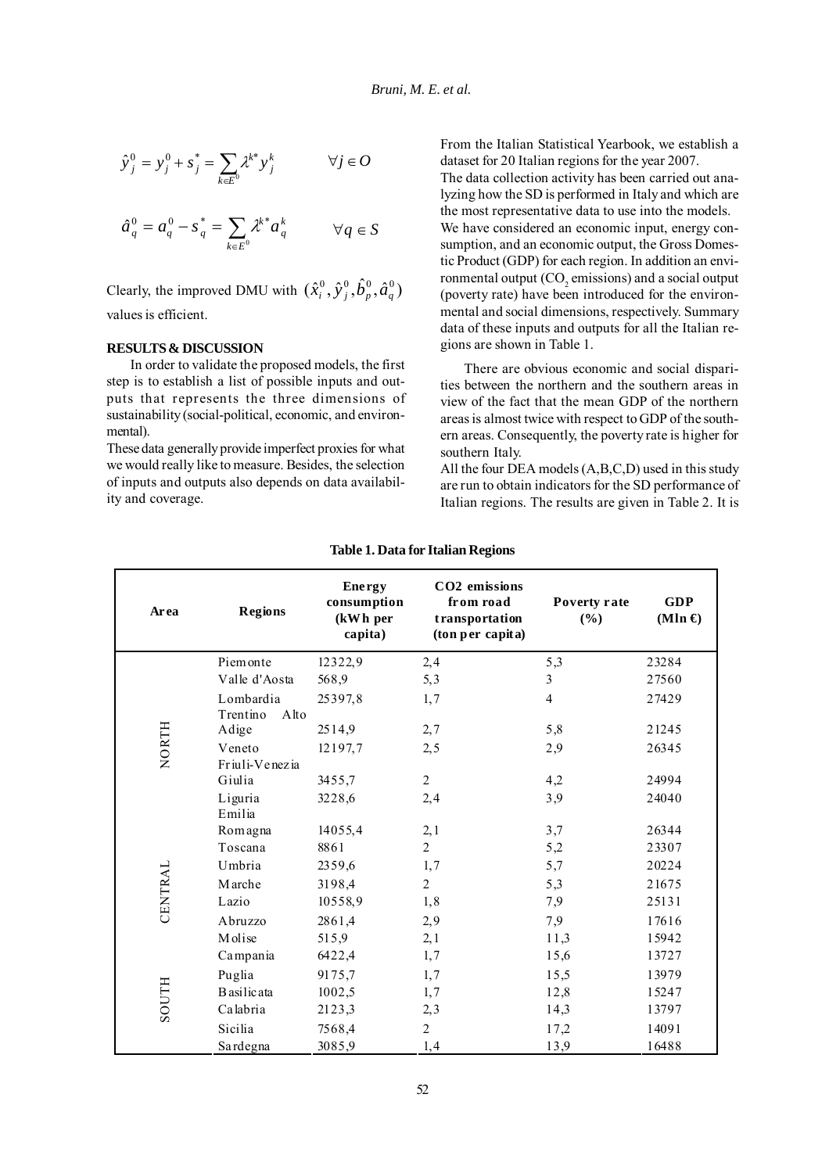$$
\hat{y}_{j}^{0} = y_{j}^{0} + s_{j}^{*} = \sum_{k \in E^{0}} \lambda^{k*} y_{j}^{k} \qquad \forall j \in O
$$

$$
\hat{a}_q^0 = a_q^0 - s_q^* = \sum_{k \in E^0} \lambda^{k^*} a_q^k \qquad \forall q \in S
$$

Clearly, the improved DMU with  $(\hat{x}_i^0, \hat{y}_j^0, \hat{b}_p^0, \hat{a}_q^0)$ values is efficient.

# **RESULTS & DISCUSSION**

In order to validate the proposed models, the first step is to establish a list of possible inputs and outputs that represents the three dimensions of sustainability (social-political, economic, and environmental).

These data generally provide imperfect proxies for what we would really like to measure. Besides, the selection of inputs and outputs also depends on data availability and coverage.

From the Italian Statistical Yearbook, we establish a dataset for 20 Italian regions for the year 2007. The data collection activity has been carried out analyzing how the SD is performed in Italy and which are the most representative data to use into the models. We have considered an economic input, energy consumption, and an economic output, the Gross Domestic Product (GDP) for each region. In addition an environmental output (CO<sub>2</sub> emissions) and a social output (poverty rate) have been introduced for the environmental and social dimensions, respectively. Summary data of these inputs and outputs for all the Italian regions are shown in Table 1.

There are obvious economic and social disparities between the northern and the southern areas in view of the fact that the mean GDP of the northern areas is almost twice with respect to GDP of the southern areas. Consequently, the poverty rate is higher for southern Italy.

All the four DEA models (A,B,C,D) used in this study are run to obtain indicators for the SD performance of Italian regions. The results are given in Table 2. It is

| Area          | <b>Regions</b>            | <b>Energy</b><br>consumption<br>(kWh per<br>capita) | CO <sub>2</sub> emissions<br>from road<br>transportation<br>(ton per capita) | Poverty rate<br>(%) | <b>GDP</b><br>$(Mln \epsilon)$ |
|---------------|---------------------------|-----------------------------------------------------|------------------------------------------------------------------------------|---------------------|--------------------------------|
| <b>NORTH</b>  | Piemonte                  | 12322,9                                             | 2,4                                                                          | 5,3                 | 23284                          |
|               | Valle d'Aosta             | 568,9                                               | 5,3                                                                          | 3                   | 27560                          |
|               | Lombardia                 | 25397,8                                             | 1,7                                                                          | $\overline{4}$      | 27429                          |
|               | Trentino<br>Alto<br>Adige | 2514,9                                              | 2,7                                                                          | 5,8                 | 21245                          |
|               | Veneto<br>Friuli-Venezia  | 12197,7                                             | 2, 5                                                                         | 2,9                 | 26345                          |
|               | Giulia                    | 3455,7                                              | $\overline{2}$                                                               | 4,2                 | 24994                          |
|               | Liguria<br>Emilia         | 3228,6                                              | 2,4                                                                          | 3,9                 | 24040                          |
|               | Romagna                   | 14055,4                                             | 2,1                                                                          | 3,7                 | 26344                          |
| CENTRAL       | Toscana                   | 8861                                                | $\overline{2}$                                                               | 5,2                 | 23307                          |
|               | Umbria                    | 2359,6                                              | 1,7                                                                          | 5,7                 | 20224                          |
|               | Marche                    | 3198,4                                              | $\overline{2}$                                                               | 5,3                 | 21675                          |
|               | Lazio                     | 10558,9                                             | 1,8                                                                          | 7,9                 | 25131                          |
|               | Abruzzo                   | 2861,4                                              | 2,9                                                                          | 7,9                 | 17616                          |
|               | Molise                    | 515,9                                               | 2,1                                                                          | 11,3                | 15942                          |
| <b>HILOOS</b> | Campania                  | 6422,4                                              | 1,7                                                                          | 15,6                | 13727                          |
|               | Puglia                    | 9175,7                                              | 1,7                                                                          | 15,5                | 13979                          |
|               | B asilic ata              | 1002,5                                              | 1,7                                                                          | 12,8                | 15247                          |
|               | Calabria                  | 2123,3                                              | 2,3                                                                          | 14,3                | 13797                          |
|               | Sicilia                   | 7568,4                                              | $\overline{2}$                                                               | 17,2                | 14091                          |
|               | Sardegna                  | 3085,9                                              | 1,4                                                                          | 13,9                | 16488                          |

### **Table 1. Data for Italian Regions**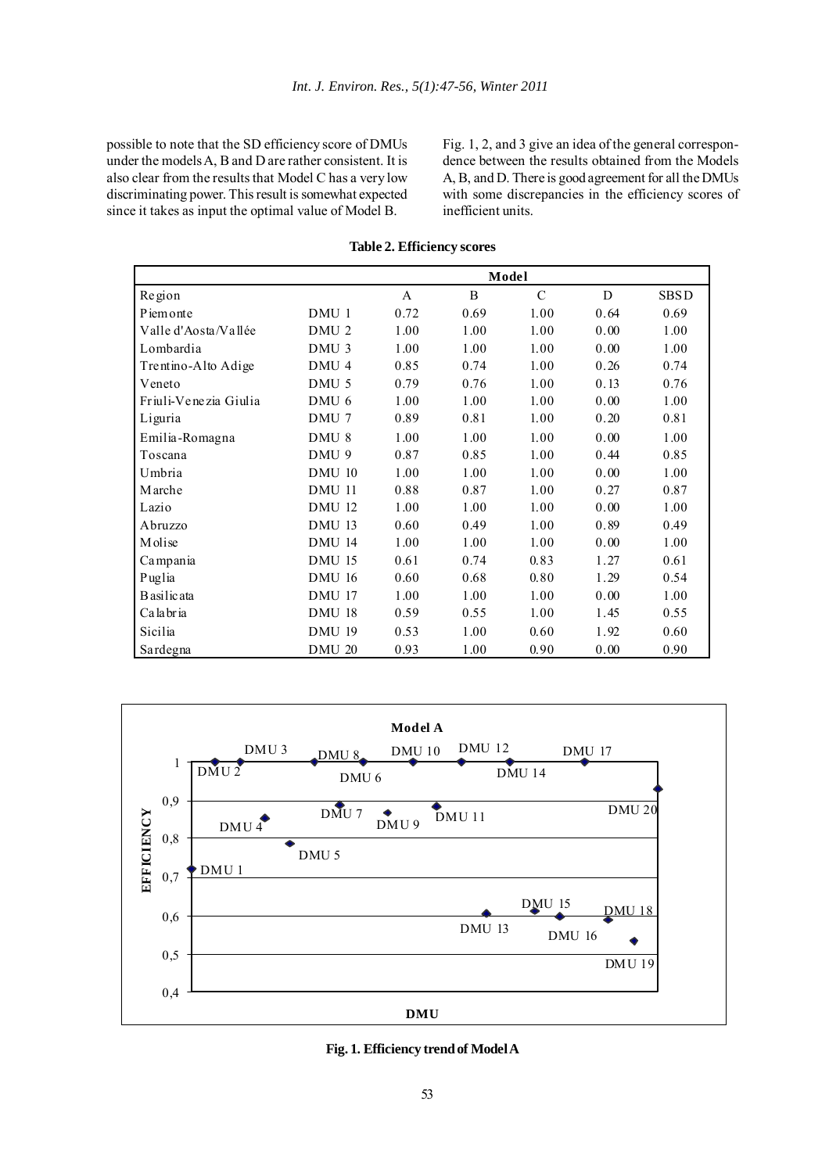possible to note that the SD efficiency score of DMUs under the models A, B and D are rather consistent. It is also clear from the results that Model C has a very low discriminating power. This result is somewhat expected since it takes as input the optimal value of Model B.

Fig. 1, 2, and 3 give an idea of the general correspondence between the results obtained from the Models A, B, and D. There is good agreement for all the DMUs with some discrepancies in the efficiency scores of inefficient units.

|                       | Model            |      |      |               |      |             |
|-----------------------|------------------|------|------|---------------|------|-------------|
| Region                |                  | A    | B    | $\mathcal{C}$ | D    | <b>SBSD</b> |
| Piemonte              | DMU 1            | 0.72 | 0.69 | 1.00          | 0.64 | 0.69        |
| Valle d'Aosta/Vallée  | DMU <sub>2</sub> | 1.00 | 1.00 | 1.00          | 0.00 | 1.00        |
| Lombardia             | DMU <sub>3</sub> | 1.00 | 1.00 | 1.00          | 0.00 | 1.00        |
| Trentino-Alto Adige   | DMU 4            | 0.85 | 0.74 | 1.00          | 0.26 | 0.74        |
| Veneto                | DMU <sub>5</sub> | 0.79 | 0.76 | 1.00          | 0.13 | 0.76        |
| Friuli-Venezia Giulia | DMU 6            | 1.00 | 1.00 | 1.00          | 0.00 | 1.00        |
| Liguria               | DMU 7            | 0.89 | 0.81 | 1.00          | 0.20 | 0.81        |
| Emilia-Romagna        | DMU <sub>8</sub> | 1.00 | 1.00 | 1.00          | 0.00 | 1.00        |
| Toscana               | DMU 9            | 0.87 | 0.85 | 1.00          | 0.44 | 0.85        |
| Umbria                | <b>DMU 10</b>    | 1.00 | 1.00 | 1.00          | 0.00 | 1.00        |
| Marche                | <b>DMU 11</b>    | 0.88 | 0.87 | 1.00          | 0.27 | 0.87        |
| Lazio                 | <b>DMU 12</b>    | 1.00 | 1.00 | 1.00          | 0.00 | 1.00        |
| Abruzzo               | <b>DMU 13</b>    | 0.60 | 0.49 | 1.00          | 0.89 | 0.49        |
| Molise                | <b>DMU 14</b>    | 1.00 | 1.00 | 1.00          | 0.00 | 1.00        |
| Campania              | <b>DMU 15</b>    | 0.61 | 0.74 | 0.83          | 1.27 | 0.61        |
| Puglia                | <b>DMU 16</b>    | 0.60 | 0.68 | 0.80          | 1.29 | 0.54        |
| <b>B</b> asilicata    | DMU 17           | 1.00 | 1.00 | 1.00          | 0.00 | 1.00        |
| Calabria              | <b>DMU 18</b>    | 0.59 | 0.55 | 1.00          | 1.45 | 0.55        |
| Sicilia               | <b>DMU 19</b>    | 0.53 | 1.00 | 0.60          | 1.92 | 0.60        |
| Sardegna              | <b>DMU 20</b>    | 0.93 | 1.00 | 0.90          | 0.00 | 0.90        |

**Table 2. Efficiency scores**



**Fig. 1. Efficiency trend of Model A**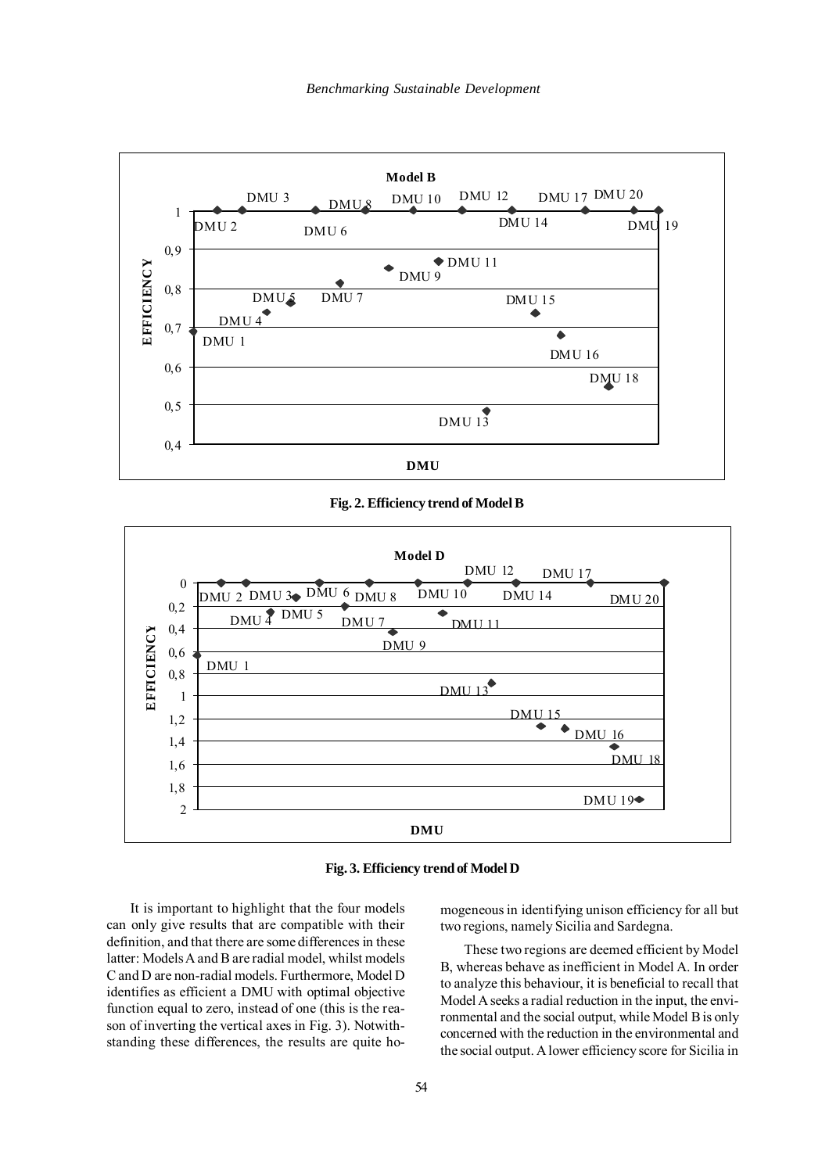

**Fig. 2. Efficiency trend of Model B**



**Fig. 3. Efficiency trend of Model D**

It is important to highlight that the four models can only give results that are compatible with their definition, and that there are some differences in these latter: Models A and B are radial model, whilst models C and D are non-radial models. Furthermore, Model D identifies as efficient a DMU with optimal objective function equal to zero, instead of one (this is the reason of inverting the vertical axes in Fig. 3). Notwithstanding these differences, the results are quite homogeneous in identifying unison efficiency for all but two regions, namely Sicilia and Sardegna.

These two regions are deemed efficient by Model B, whereas behave as inefficient in Model A. In order to analyze this behaviour, it is beneficial to recall that Model A seeks a radial reduction in the input, the environmental and the social output, while Model B is only concerned with the reduction in the environmental and the social output. A lower efficiency score for Sicilia in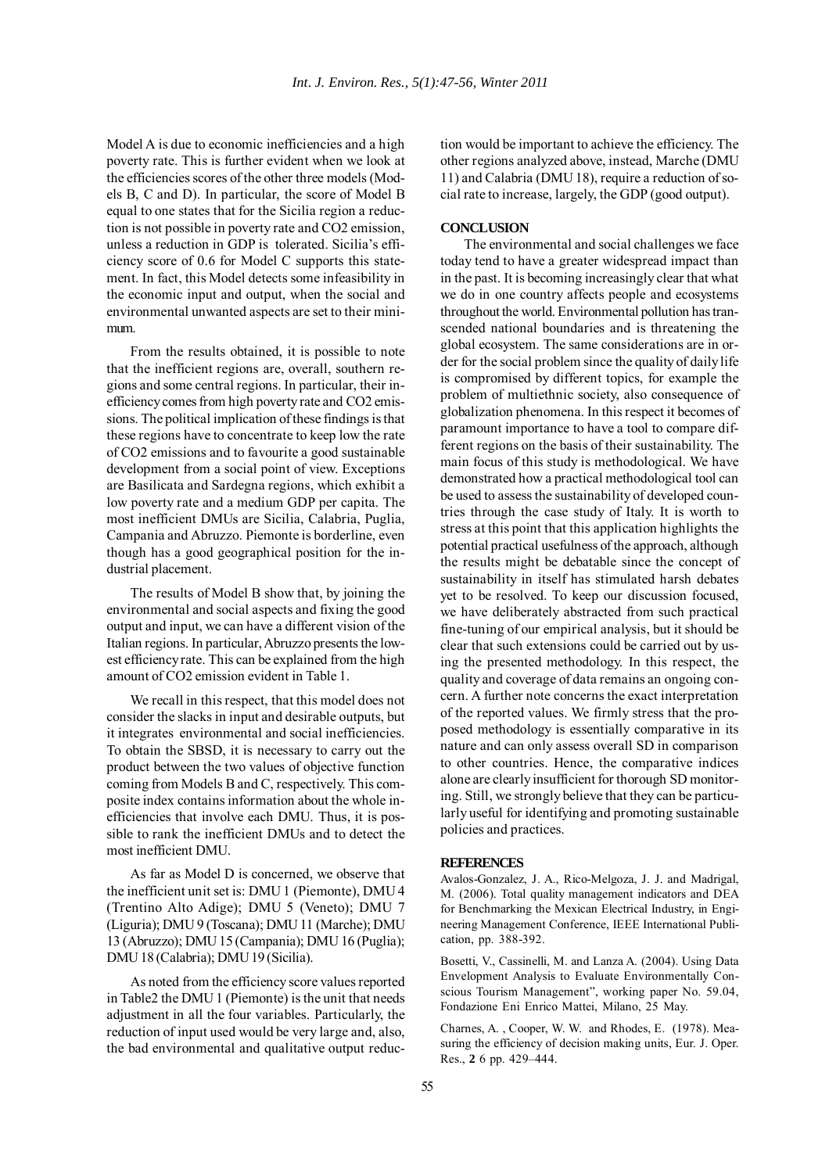Model A is due to economic inefficiencies and a high poverty rate. This is further evident when we look at the efficiencies scores of the other three models (Models B, C and D). In particular, the score of Model B equal to one states that for the Sicilia region a reduction is not possible in poverty rate and CO2 emission, unless a reduction in GDP is tolerated. Sicilia's efficiency score of 0.6 for Model C supports this statement. In fact, this Model detects some infeasibility in the economic input and output, when the social and environmental unwanted aspects are set to their minimum.

From the results obtained, it is possible to note that the inefficient regions are, overall, southern regions and some central regions. In particular, their inefficiency comes from high poverty rate and CO2 emissions. The political implication of these findings is that these regions have to concentrate to keep low the rate of CO2 emissions and to favourite a good sustainable development from a social point of view. Exceptions are Basilicata and Sardegna regions, which exhibit a low poverty rate and a medium GDP per capita. The most inefficient DMUs are Sicilia, Calabria, Puglia, Campania and Abruzzo. Piemonte is borderline, even though has a good geographical position for the industrial placement.

The results of Model B show that, by joining the environmental and social aspects and fixing the good output and input, we can have a different vision of the Italian regions. In particular, Abruzzo presents the lowest efficiency rate. This can be explained from the high amount of CO2 emission evident in Table 1.

We recall in this respect, that this model does not consider the slacks in input and desirable outputs, but it integrates environmental and social inefficiencies. To obtain the SBSD, it is necessary to carry out the product between the two values of objective function coming from Models B and C, respectively. This composite index contains information about the whole inefficiencies that involve each DMU. Thus, it is possible to rank the inefficient DMUs and to detect the most inefficient DMU.

As far as Model D is concerned, we observe that the inefficient unit set is: DMU 1 (Piemonte), DMU 4 (Trentino Alto Adige); DMU 5 (Veneto); DMU 7 (Liguria); DMU 9 (Toscana); DMU 11 (Marche); DMU 13 (Abruzzo); DMU 15 (Campania); DMU 16 (Puglia); DMU 18 (Calabria); DMU 19 (Sicilia).

As noted from the efficiency score values reported in Table2 the DMU 1 (Piemonte) is the unit that needs adjustment in all the four variables. Particularly, the reduction of input used would be very large and, also, the bad environmental and qualitative output reduction would be important to achieve the efficiency. The other regions analyzed above, instead, Marche (DMU 11) and Calabria (DMU 18), require a reduction of social rate to increase, largely, the GDP (good output).

### **CONCLUSION**

The environmental and social challenges we face today tend to have a greater widespread impact than in the past. It is becoming increasingly clear that what we do in one country affects people and ecosystems throughout the world. Environmental pollution has transcended national boundaries and is threatening the global ecosystem. The same considerations are in order for the social problem since the quality of daily life is compromised by different topics, for example the problem of multiethnic society, also consequence of globalization phenomena. In this respect it becomes of paramount importance to have a tool to compare different regions on the basis of their sustainability. The main focus of this study is methodological. We have demonstrated how a practical methodological tool can be used to assess the sustainability of developed countries through the case study of Italy. It is worth to stress at this point that this application highlights the potential practical usefulness of the approach, although the results might be debatable since the concept of sustainability in itself has stimulated harsh debates yet to be resolved. To keep our discussion focused, we have deliberately abstracted from such practical fine-tuning of our empirical analysis, but it should be clear that such extensions could be carried out by using the presented methodology. In this respect, the quality and coverage of data remains an ongoing concern. A further note concerns the exact interpretation of the reported values. We firmly stress that the proposed methodology is essentially comparative in its nature and can only assess overall SD in comparison to other countries. Hence, the comparative indices alone are clearly insufficient for thorough SD monitoring. Still, we strongly believe that they can be particularly useful for identifying and promoting sustainable policies and practices.

#### **REFERENCES**

Avalos-Gonzalez, J. A., Rico-Melgoza, J. J. and Madrigal, M. (2006). Total quality management indicators and DEA for Benchmarking the Mexican Electrical Industry, in Engineering Management Conference, IEEE International Publication, pp. 388-392.

Bosetti, V., Cassinelli, M. and Lanza A. (2004). Using Data Envelopment Analysis to Evaluate Environmentally Conscious Tourism Management", working paper No. 59.04, Fondazione Eni Enrico Mattei, Milano, 25 May.

Charnes, A. , Cooper, W. W. and Rhodes, E. (1978). Measuring the efficiency of decision making units, Eur. J. Oper. Res., **2** 6 pp. 429–444.